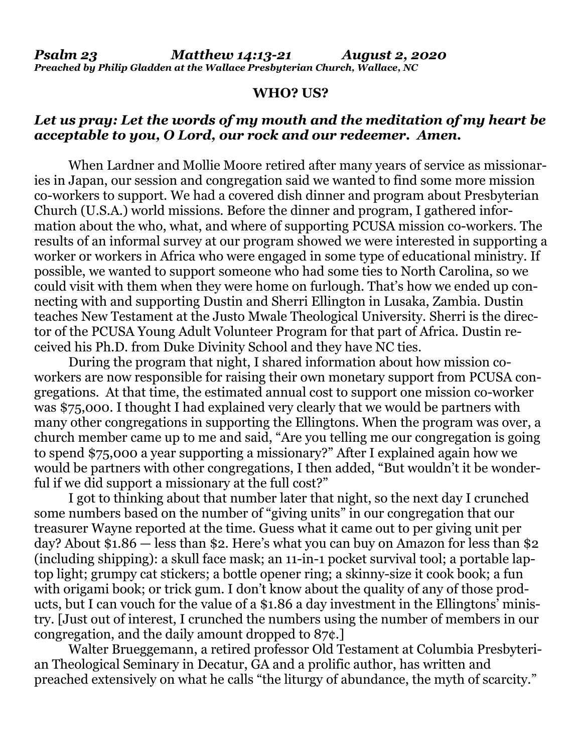*Psalm 23 Matthew 14:13-21 August 2, 2020 Preached by Philip Gladden at the Wallace Presbyterian Church, Wallace, NC*

## **WHO? US?**

## *Let us pray: Let the words of my mouth and the meditation of my heart be acceptable to you, O Lord, our rock and our redeemer. Amen.*

When Lardner and Mollie Moore retired after many years of service as missionaries in Japan, our session and congregation said we wanted to find some more mission co-workers to support. We had a covered dish dinner and program about Presbyterian Church (U.S.A.) world missions. Before the dinner and program, I gathered information about the who, what, and where of supporting PCUSA mission co-workers. The results of an informal survey at our program showed we were interested in supporting a worker or workers in Africa who were engaged in some type of educational ministry. If possible, we wanted to support someone who had some ties to North Carolina, so we could visit with them when they were home on furlough. That's how we ended up connecting with and supporting Dustin and Sherri Ellington in Lusaka, Zambia. Dustin teaches New Testament at the Justo Mwale Theological University. Sherri is the director of the PCUSA Young Adult Volunteer Program for that part of Africa. Dustin received his Ph.D. from Duke Divinity School and they have NC ties.

During the program that night, I shared information about how mission coworkers are now responsible for raising their own monetary support from PCUSA congregations. At that time, the estimated annual cost to support one mission co-worker was \$75,000. I thought I had explained very clearly that we would be partners with many other congregations in supporting the Ellingtons. When the program was over, a church member came up to me and said, "Are you telling me our congregation is going to spend \$75,000 a year supporting a missionary?" After I explained again how we would be partners with other congregations, I then added, "But wouldn't it be wonderful if we did support a missionary at the full cost?"

I got to thinking about that number later that night, so the next day I crunched some numbers based on the number of "giving units" in our congregation that our treasurer Wayne reported at the time. Guess what it came out to per giving unit per day? About \$1.86 — less than \$2. Here's what you can buy on Amazon for less than \$2 (including shipping): a skull face mask; an 11-in-1 pocket survival tool; a portable laptop light; grumpy cat stickers; a bottle opener ring; a skinny-size it cook book; a fun with origami book; or trick gum. I don't know about the quality of any of those products, but I can vouch for the value of a \$1.86 a day investment in the Ellingtons' ministry. [Just out of interest, I crunched the numbers using the number of members in our congregation, and the daily amount dropped to 87¢.]

Walter Brueggemann, a retired professor Old Testament at Columbia Presbyterian Theological Seminary in Decatur, GA and a prolific author, has written and preached extensively on what he calls "the liturgy of abundance, the myth of scarcity."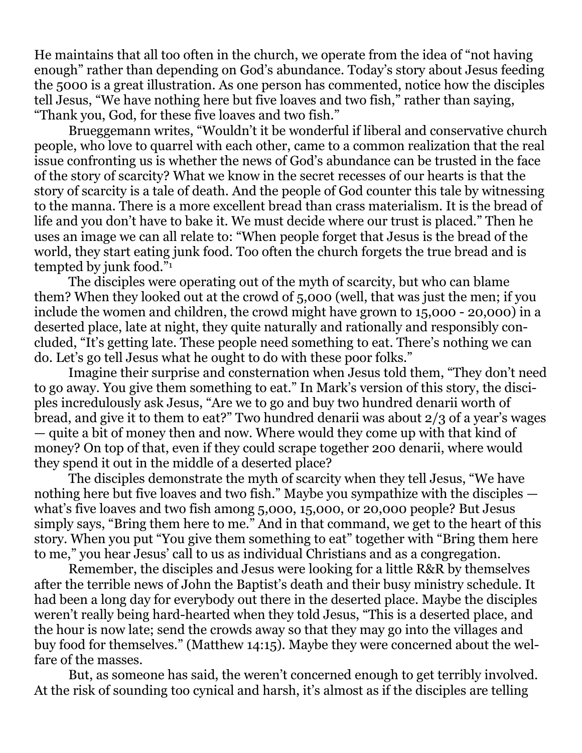He maintains that all too often in the church, we operate from the idea of "not having enough" rather than depending on God's abundance. Today's story about Jesus feeding the 5000 is a great illustration. As one person has commented, notice how the disciples tell Jesus, "We have nothing here but five loaves and two fish," rather than saying, "Thank you, God, for these five loaves and two fish."

Brueggemann writes, "Wouldn't it be wonderful if liberal and conservative church people, who love to quarrel with each other, came to a common realization that the real issue confronting us is whether the news of God's abundance can be trusted in the face of the story of scarcity? What we know in the secret recesses of our hearts is that the story of scarcity is a tale of death. And the people of God counter this tale by witnessing to the manna. There is a more excellent bread than crass materialism. It is the bread of life and you don't have to bake it. We must decide where our trust is placed." Then he uses an image we can all relate to: "When people forget that Jesus is the bread of the world, they start eating junk food. Too often the church forgets the true bread and is tempted by junk food."<sup>1</sup>

The disciples were operating out of the myth of scarcity, but who can blame them? When they looked out at the crowd of 5,000 (well, that was just the men; if you include the women and children, the crowd might have grown to 15,000 - 20,000) in a deserted place, late at night, they quite naturally and rationally and responsibly concluded, "It's getting late. These people need something to eat. There's nothing we can do. Let's go tell Jesus what he ought to do with these poor folks."

Imagine their surprise and consternation when Jesus told them, "They don't need to go away. You give them something to eat." In Mark's version of this story, the disciples incredulously ask Jesus, "Are we to go and buy two hundred denarii worth of bread, and give it to them to eat?" Two hundred denarii was about 2/3 of a year's wages — quite a bit of money then and now. Where would they come up with that kind of money? On top of that, even if they could scrape together 200 denarii, where would they spend it out in the middle of a deserted place?

The disciples demonstrate the myth of scarcity when they tell Jesus, "We have nothing here but five loaves and two fish." Maybe you sympathize with the disciples what's five loaves and two fish among 5,000, 15,000, or 20,000 people? But Jesus simply says, "Bring them here to me." And in that command, we get to the heart of this story. When you put "You give them something to eat" together with "Bring them here to me," you hear Jesus' call to us as individual Christians and as a congregation.

Remember, the disciples and Jesus were looking for a little R&R by themselves after the terrible news of John the Baptist's death and their busy ministry schedule. It had been a long day for everybody out there in the deserted place. Maybe the disciples weren't really being hard-hearted when they told Jesus, "This is a deserted place, and the hour is now late; send the crowds away so that they may go into the villages and buy food for themselves." (Matthew 14:15). Maybe they were concerned about the welfare of the masses.

But, as someone has said, the weren't concerned enough to get terribly involved. At the risk of sounding too cynical and harsh, it's almost as if the disciples are telling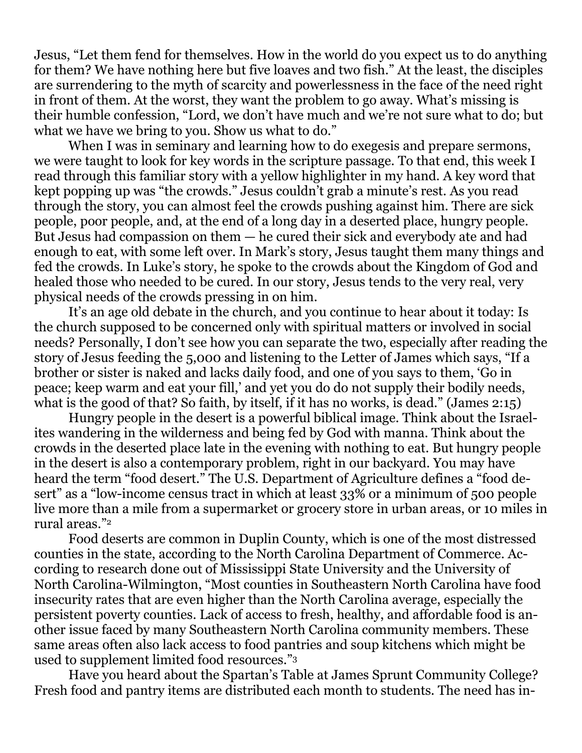Jesus, "Let them fend for themselves. How in the world do you expect us to do anything for them? We have nothing here but five loaves and two fish." At the least, the disciples are surrendering to the myth of scarcity and powerlessness in the face of the need right in front of them. At the worst, they want the problem to go away. What's missing is their humble confession, "Lord, we don't have much and we're not sure what to do; but what we have we bring to you. Show us what to do."

When I was in seminary and learning how to do exeges is and prepare sermons, we were taught to look for key words in the scripture passage. To that end, this week I read through this familiar story with a yellow highlighter in my hand. A key word that kept popping up was "the crowds." Jesus couldn't grab a minute's rest. As you read through the story, you can almost feel the crowds pushing against him. There are sick people, poor people, and, at the end of a long day in a deserted place, hungry people. But Jesus had compassion on them — he cured their sick and everybody ate and had enough to eat, with some left over. In Mark's story, Jesus taught them many things and fed the crowds. In Luke's story, he spoke to the crowds about the Kingdom of God and healed those who needed to be cured. In our story, Jesus tends to the very real, very physical needs of the crowds pressing in on him.

It's an age old debate in the church, and you continue to hear about it today: Is the church supposed to be concerned only with spiritual matters or involved in social needs? Personally, I don't see how you can separate the two, especially after reading the story of Jesus feeding the 5,000 and listening to the Letter of James which says, "If a brother or sister is naked and lacks daily food, and one of you says to them, 'Go in peace; keep warm and eat your fill,' and yet you do do not supply their bodily needs, what is the good of that? So faith, by itself, if it has no works, is dead." (James 2:15)

Hungry people in the desert is a powerful biblical image. Think about the Israelites wandering in the wilderness and being fed by God with manna. Think about the crowds in the deserted place late in the evening with nothing to eat. But hungry people in the desert is also a contemporary problem, right in our backyard. You may have heard the term "food desert." The U.S. Department of Agriculture defines a "food desert" as a "low-income census tract in which at least 33% or a minimum of 500 people live more than a mile from a supermarket or grocery store in urban areas, or 10 miles in rural areas."<sup>2</sup>

Food deserts are common in Duplin County, which is one of the most distressed counties in the state, according to the North Carolina Department of Commerce. According to research done out of Mississippi State University and the University of North Carolina-Wilmington, "Most counties in Southeastern North Carolina have food insecurity rates that are even higher than the North Carolina average, especially the persistent poverty counties. Lack of access to fresh, healthy, and affordable food is another issue faced by many Southeastern North Carolina community members. These same areas often also lack access to food pantries and soup kitchens which might be used to supplement limited food resources."<sup>3</sup>

Have you heard about the Spartan's Table at James Sprunt Community College? Fresh food and pantry items are distributed each month to students. The need has in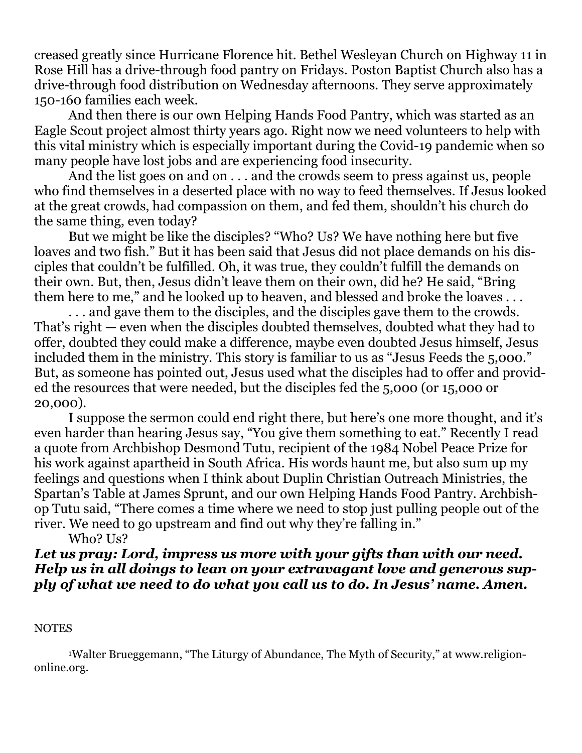creased greatly since Hurricane Florence hit. Bethel Wesleyan Church on Highway 11 in Rose Hill has a drive-through food pantry on Fridays. Poston Baptist Church also has a drive-through food distribution on Wednesday afternoons. They serve approximately 150-160 families each week.

And then there is our own Helping Hands Food Pantry, which was started as an Eagle Scout project almost thirty years ago. Right now we need volunteers to help with this vital ministry which is especially important during the Covid-19 pandemic when so many people have lost jobs and are experiencing food insecurity.

And the list goes on and on . . . and the crowds seem to press against us, people who find themselves in a deserted place with no way to feed themselves. If Jesus looked at the great crowds, had compassion on them, and fed them, shouldn't his church do the same thing, even today?

But we might be like the disciples? "Who? Us? We have nothing here but five loaves and two fish." But it has been said that Jesus did not place demands on his disciples that couldn't be fulfilled. Oh, it was true, they couldn't fulfill the demands on their own. But, then, Jesus didn't leave them on their own, did he? He said, "Bring them here to me," and he looked up to heaven, and blessed and broke the loaves ...

. . . and gave them to the disciples, and the disciples gave them to the crowds. That's right — even when the disciples doubted themselves, doubted what they had to offer, doubted they could make a difference, maybe even doubted Jesus himself, Jesus included them in the ministry. This story is familiar to us as "Jesus Feeds the 5,000." But, as someone has pointed out, Jesus used what the disciples had to offer and provided the resources that were needed, but the disciples fed the 5,000 (or 15,000 or 20,000).

I suppose the sermon could end right there, but here's one more thought, and it's even harder than hearing Jesus say, "You give them something to eat." Recently I read a quote from Archbishop Desmond Tutu, recipient of the 1984 Nobel Peace Prize for his work against apartheid in South Africa. His words haunt me, but also sum up my feelings and questions when I think about Duplin Christian Outreach Ministries, the Spartan's Table at James Sprunt, and our own Helping Hands Food Pantry. Archbishop Tutu said, "There comes a time where we need to stop just pulling people out of the river. We need to go upstream and find out why they're falling in."

Who? Us?

*Let us pray: Lord, impress us more with your gifts than with our need. Help us in all doings to lean on your extravagant love and generous supply of what we need to do what you call us to do. In Jesus' name. Amen.*

## **NOTES**

<sup>1</sup>Walter Brueggemann, "The Liturgy of Abundance, The Myth of Security," at [www.religion](http://www.religion-online.org/)[online.org.](http://www.religion-online.org/)